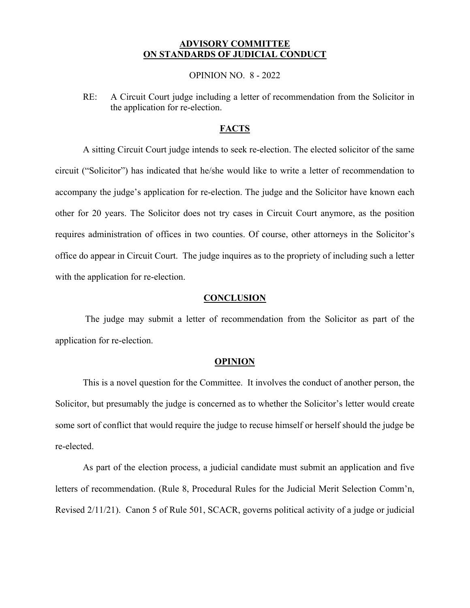## **ADVISORY COMMITTEE ON STANDARDS OF JUDICIAL CONDUCT**

OPINION NO. 8 - 2022

RE: A Circuit Court judge including a letter of recommendation from the Solicitor in the application for re-election.

## **FACTS**

A sitting Circuit Court judge intends to seek re-election. The elected solicitor of the same circuit ("Solicitor") has indicated that he/she would like to write a letter of recommendation to accompany the judge's application for re-election. The judge and the Solicitor have known each other for 20 years. The Solicitor does not try cases in Circuit Court anymore, as the position requires administration of offices in two counties. Of course, other attorneys in the Solicitor's office do appear in Circuit Court. The judge inquires as to the propriety of including such a letter with the application for re-election.

## **CONCLUSION**

The judge may submit a letter of recommendation from the Solicitor as part of the application for re-election.

## **OPINION**

This is a novel question for the Committee. It involves the conduct of another person, the Solicitor, but presumably the judge is concerned as to whether the Solicitor's letter would create some sort of conflict that would require the judge to recuse himself or herself should the judge be re-elected.

As part of the election process, a judicial candidate must submit an application and five letters of recommendation. (Rule 8, Procedural Rules for the Judicial Merit Selection Comm'n, Revised 2/11/21). Canon 5 of Rule 501, SCACR, governs political activity of a judge or judicial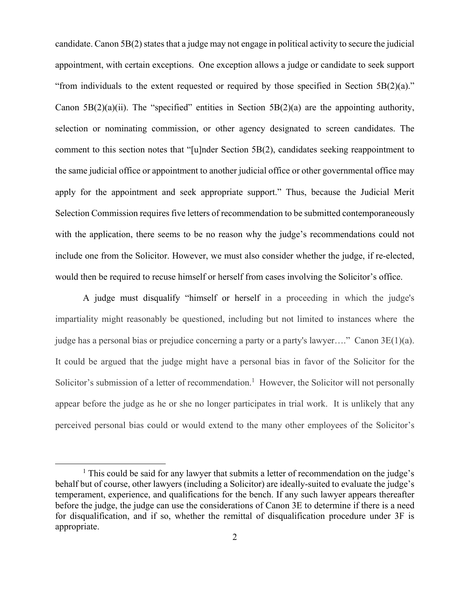candidate. Canon 5B(2) states that a judge may not engage in political activity to secure the judicial appointment, with certain exceptions. One exception allows a judge or candidate to seek support "from individuals to the extent requested or required by those specified in Section  $5B(2)(a)$ ." Canon  $5B(2)(a)(ii)$ . The "specified" entities in Section  $5B(2)(a)$  are the appointing authority, selection or nominating commission, or other agency designated to screen candidates. The comment to this section notes that "[u]nder Section 5B(2), candidates seeking reappointment to the same judicial office or appointment to another judicial office or other governmental office may apply for the appointment and seek appropriate support." Thus, because the Judicial Merit Selection Commission requires five letters of recommendation to be submitted contemporaneously with the application, there seems to be no reason why the judge's recommendations could not include one from the Solicitor. However, we must also consider whether the judge, if re-elected, would then be required to recuse himself or herself from cases involving the Solicitor's office.

A judge must disqualify "himself or herself in a proceeding in which the judge's impartiality might reasonably be questioned, including but not limited to instances where the judge has a personal bias or prejudice concerning a party or a party's lawyer…." Canon 3E(1)(a). It could be argued that the judge might have a personal bias in favor of the Solicitor for the Solicitor's submission of a letter of recommendation.<sup>1</sup> However, the Solicitor will not personally appear before the judge as he or she no longer participates in trial work. It is unlikely that any perceived personal bias could or would extend to the many other employees of the Solicitor's

 $\overline{a}$ 

<sup>&</sup>lt;sup>1</sup> This could be said for any lawyer that submits a letter of recommendation on the judge's behalf but of course, other lawyers (including a Solicitor) are ideally-suited to evaluate the judge's temperament, experience, and qualifications for the bench. If any such lawyer appears thereafter before the judge, the judge can use the considerations of Canon 3E to determine if there is a need for disqualification, and if so, whether the remittal of disqualification procedure under 3F is appropriate.